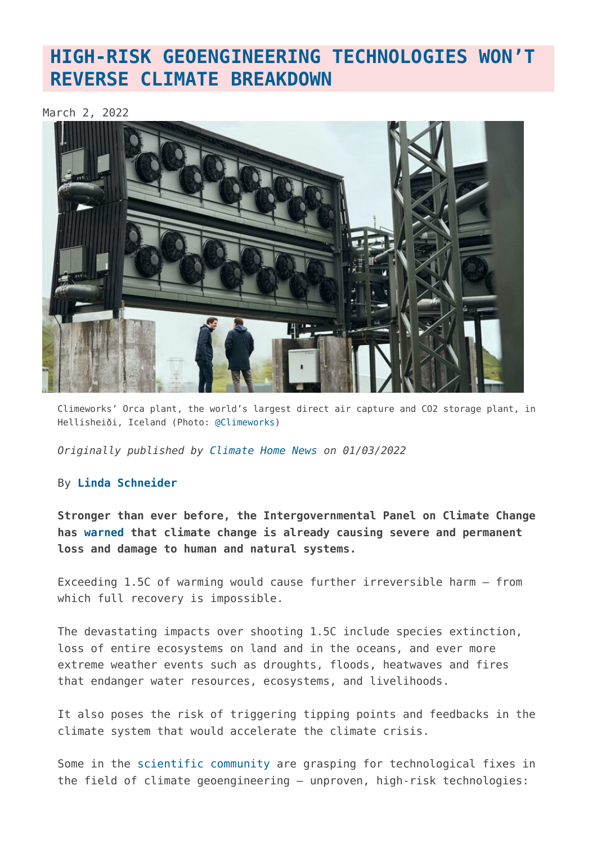## **[HIGH-RISK GEOENGINEERING TECHNOLOGIES WON'T](https://www.geoengineeringmonitor.org/2022/03/high-risk-geoengineering-technologies-wont-reverse-climate-breakdown/) [REVERSE CLIMATE BREAKDOWN](https://www.geoengineeringmonitor.org/2022/03/high-risk-geoengineering-technologies-wont-reverse-climate-breakdown/)**

March 2, 2022



Climeworks' Orca plant, the world's largest direct air capture and CO2 storage plant, in Hellisheiði, Iceland (Photo: [@Climeworks](https://climeworks.com/orca))

*Originally published by [Climate Home News](https://www.climatechangenews.com/2022/03/01/high-risk-geoengineering-technologies-wont-reverse-climate-breakdown/) on 01/03/2022*

## By **[Linda Schneider](https://www.climatechangenews.com/author/linda-schneider/)**

**Stronger than ever before, the Intergovernmental Panel on Climate Change has [warned](https://www.ipcc.ch/report/sixth-assessment-report-working-group-ii/) that climate change is already causing severe and permanent loss and damage to human and natural systems.**

Exceeding 1.5C of warming would cause further irreversible harm – from which full recovery is impossible.

The devastating impacts over shooting 1.5C include species extinction, loss of entire ecosystems on land and in the oceans, and ever more extreme weather events such as droughts, floods, heatwaves and fires that endanger water resources, ecosystems, and livelihoods.

It also poses the risk of triggering tipping points and feedbacks in the climate system that would accelerate the climate crisis.

Some in the [scientific community](https://www.nationalacademies.org/news/2021/03/new-report-says-u-s-should-cautiously-pursue-solar-geoengineering-research-to-better-understand-options-for-responding-to-climate-change-risks) are grasping for technological fixes in the field of climate geoengineering – unproven, high-risk technologies: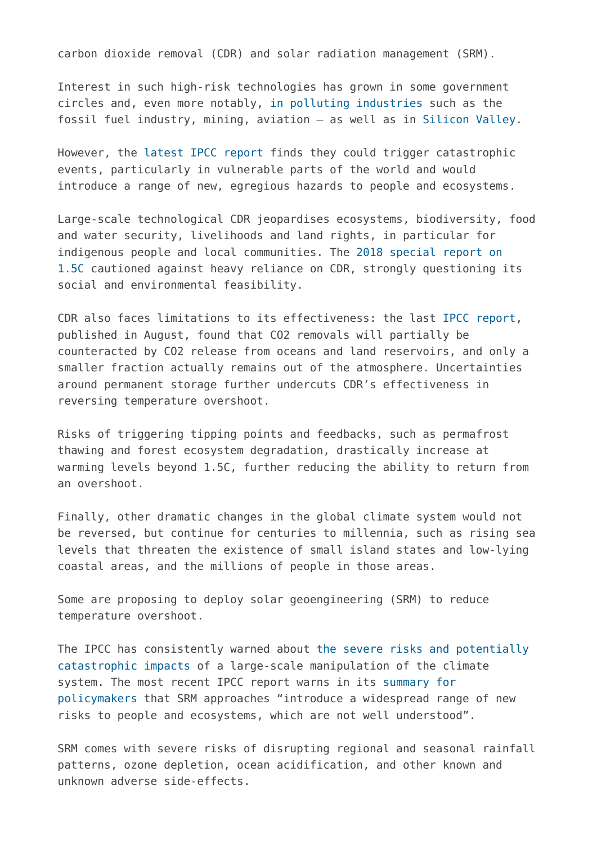carbon dioxide removal (CDR) and solar radiation management (SRM).

Interest in such high-risk technologies has grown in some government circles and, even more notably, [in polluting industries](https://www.ciel.org/news/fuel-to-the-fire-how-geoengineering-threatens-to-entrench-fossil-fuels-and-accelerate-the-climate-crisis/) such as the fossil fuel industry, mining, aviation – as well as in [Silicon Valley](https://osf.io/preprints/socarxiv/ebwqn/).

However, the [latest IPCC report](https://www.ipcc.ch/report/sixth-assessment-report-working-group-i/) finds they could trigger catastrophic events, particularly in vulnerable parts of the world and would introduce a range of new, egregious hazards to people and ecosystems.

Large-scale technological CDR jeopardises ecosystems, biodiversity, food and water security, livelihoods and land rights, in particular for indigenous people and local communities. The [2018 special report on](https://www.ipcc.ch/sr15/chapter/spm/) [1.5C](https://www.ipcc.ch/sr15/chapter/spm/) cautioned against heavy reliance on CDR, strongly questioning its social and environmental feasibility.

CDR also faces limitations to its effectiveness: the last [IPCC report](https://www.ipcc.ch/report/sixth-assessment-report-working-group-i/), published in August, found that CO2 removals will partially be counteracted by CO2 release from oceans and land reservoirs, and only a smaller fraction actually remains out of the atmosphere. Uncertainties around permanent storage further undercuts CDR's effectiveness in reversing temperature overshoot.

Risks of triggering tipping points and feedbacks, such as permafrost thawing and forest ecosystem degradation, drastically increase at warming levels beyond 1.5C, further reducing the ability to return from an overshoot.

Finally, other dramatic changes in the global climate system would not be reversed, but continue for centuries to millennia, such as rising sea levels that threaten the existence of small island states and low-lying coastal areas, and the millions of people in those areas.

Some are proposing to deploy solar geoengineering (SRM) to reduce temperature overshoot.

The IPCC has consistently warned about [the severe risks and potentially](https://www.ipcc.ch/report/ar6/wg1/downloads/report/IPCC_AR6_WGI_Full_Report.pdf) [catastrophic impacts](https://www.ipcc.ch/report/ar6/wg1/downloads/report/IPCC_AR6_WGI_Full_Report.pdf) of a large-scale manipulation of the climate system. The most recent IPCC report warns in its [summary for](https://report.ipcc.ch/ar6wg2/pdf/IPCC_AR6_WGII_SummaryForPolicymakers.pdf) [policymakers](https://report.ipcc.ch/ar6wg2/pdf/IPCC_AR6_WGII_SummaryForPolicymakers.pdf) that SRM approaches "introduce a widespread range of new risks to people and ecosystems, which are not well understood".

SRM comes with severe risks of disrupting regional and seasonal rainfall patterns, ozone depletion, ocean acidification, and other known and unknown adverse side-effects.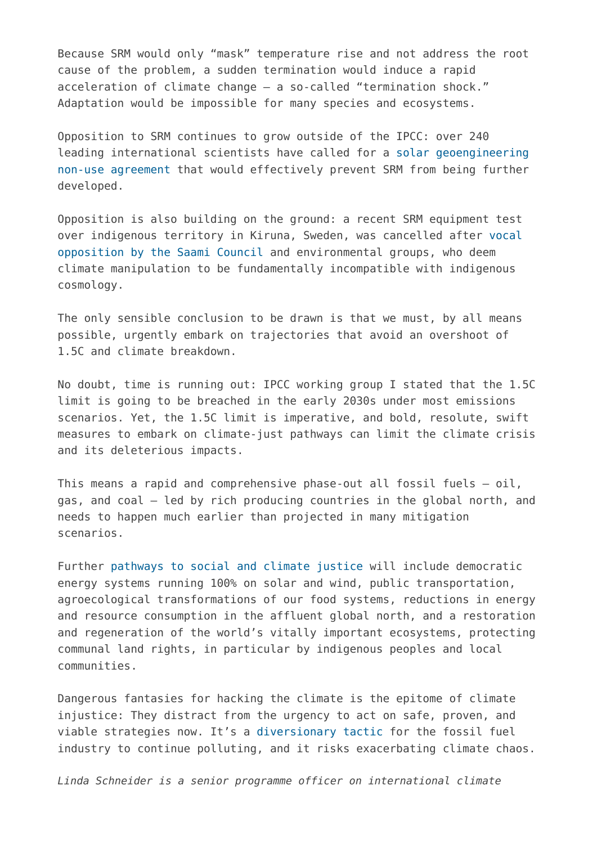Because SRM would only "mask" temperature rise and not address the root cause of the problem, a sudden termination would induce a rapid acceleration of climate change – a so-called "termination shock." Adaptation would be impossible for many species and ecosystems.

Opposition to SRM continues to grow outside of the IPCC: over 240 leading international scientists have called for a [solar geoengineering](https://www.solargeoeng.org/) [non-use agreement](https://www.solargeoeng.org/) that would effectively prevent SRM from being further developed.

Opposition is also building on the ground: a recent SRM equipment test over indigenous territory in Kiruna, Sweden, was cancelled after [vocal](https://static1.squarespace.com/static/5dfb35a66f00d54ab0729b75/t/60c0a4bac8e3952583139537/1623237819160/Indigenous+Peoples+call+on+Harvard+to+shut+down+the+SCoPEx+project.pdf) [opposition by the Saami Council](https://static1.squarespace.com/static/5dfb35a66f00d54ab0729b75/t/60c0a4bac8e3952583139537/1623237819160/Indigenous+Peoples+call+on+Harvard+to+shut+down+the+SCoPEx+project.pdf) and environmental groups, who deem climate manipulation to be fundamentally incompatible with indigenous cosmology.

The only sensible conclusion to be drawn is that we must, by all means possible, urgently embark on trajectories that avoid an overshoot of 1.5C and climate breakdown.

No doubt, time is running out: IPCC working group I stated that the 1.5C limit is going to be breached in the early 2030s under most emissions scenarios. Yet, the 1.5C limit is imperative, and bold, resolute, swift measures to embark on climate-just pathways can limit the climate crisis and its deleterious impacts.

This means a rapid and comprehensive phase-out all fossil fuels – oil, gas, and coal – led by rich producing countries in the global north, and needs to happen much earlier than projected in many mitigation scenarios.

Further [pathways to social and climate justice](https://www.boell.de/en/radicalrealism) will include democratic energy systems running 100% on solar and wind, public transportation, agroecological transformations of our food systems, reductions in energy and resource consumption in the affluent global north, and a restoration and regeneration of the world's vitally important ecosystems, protecting communal land rights, in particular by indigenous peoples and local communities.

Dangerous fantasies for hacking the climate is the epitome of climate injustice: They distract from the urgency to act on safe, proven, and viable strategies now. It's a [diversionary tactic](https://www.ciel.org/news/fuel-to-the-fire-how-geoengineering-threatens-to-entrench-fossil-fuels-and-accelerate-the-climate-crisis/) for the fossil fuel industry to continue polluting, and it risks exacerbating climate chaos.

*Linda Schneider is a senior programme officer on international climate*